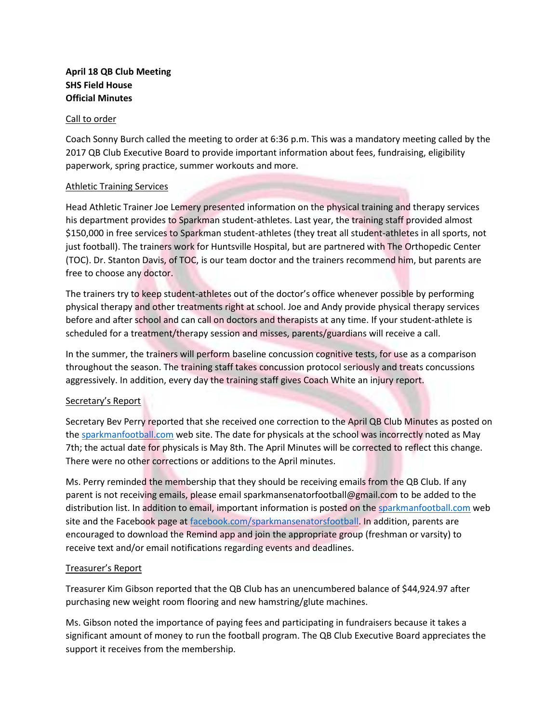# **April 18 QB Club Meeting SHS Field House Official Minutes**

#### Call to order

Coach Sonny Burch called the meeting to order at 6:36 p.m. This was a mandatory meeting called by the 2017 QB Club Executive Board to provide important information about fees, fundraising, eligibility paperwork, spring practice, summer workouts and more.

### Athletic Training Services

Head Athletic Trainer Joe Lemery presented information on the physical training and therapy services his department provides to Sparkman student-athletes. Last year, the training staff provided almost \$150,000 in free services to Sparkman student-athletes (they treat all student-athletes in all sports, not just football). The trainers work for Huntsville Hospital, but are partnered with The Orthopedic Center (TOC). Dr. Stanton Davis, of TOC, is our team doctor and the trainers recommend him, but parents are free to choose any doctor.

The trainers try to keep student-athletes out of the doctor's office whenever possible by performing physical therapy and other treatments right at school. Joe and Andy provide physical therapy services before and after school and can call on doctors and therapists at any time. If your student-athlete is scheduled for a treatment/therapy session and misses, parents/guardians will receive a call.

In the summer, the trainers will perform baseline concussion cognitive tests, for use as a comparison throughout the season. The training staff takes concussion protocol seriously and treats concussions aggressively. In addition, every day the training staff gives Coach White an injury report.

# Secretary's Report

Secretary Bev Perry reported that she received one correction to the April QB Club Minutes as posted on th[e sparkmanfootball.com](http://www.sparkmanfootball.com/) web site. The date for physicals at the school was incorrectly noted as May 7th; the actual date for physicals is May 8th. The April Minutes will be corrected to reflect this change. There were no other corrections or additions to the April minutes.

Ms. Perry reminded the membership that they should be receiving emails from the QB Club. If any parent is not receiving emails, please emai[l sparkmansenatorfootball@gmail.com](mailto:sparkmansenatorfootball@gmail.com) to be added to the distribution list. In addition to email, important information is posted on th[e sparkmanfootball.com](http://www.sparkmanfootball.com/) web site and the Facebook page at [facebook.com/sparkmansenatorsfootball.](http://www.facebook.com/sparkmansenatorsfootball) In addition, parents are encouraged to download the Remind app and join the appropriate group (freshman or varsity) to receive text and/or email notifications regarding events and deadlines.

# Treasurer's Report

Treasurer Kim Gibson reported that the QB Club has an unencumbered balance of \$44,924.97 after purchasing new weight room flooring and new hamstring/glute machines.

Ms. Gibson noted the importance of paying fees and participating in fundraisers because it takes a significant amount of money to run the football program. The QB Club Executive Board appreciates the support it receives from the membership.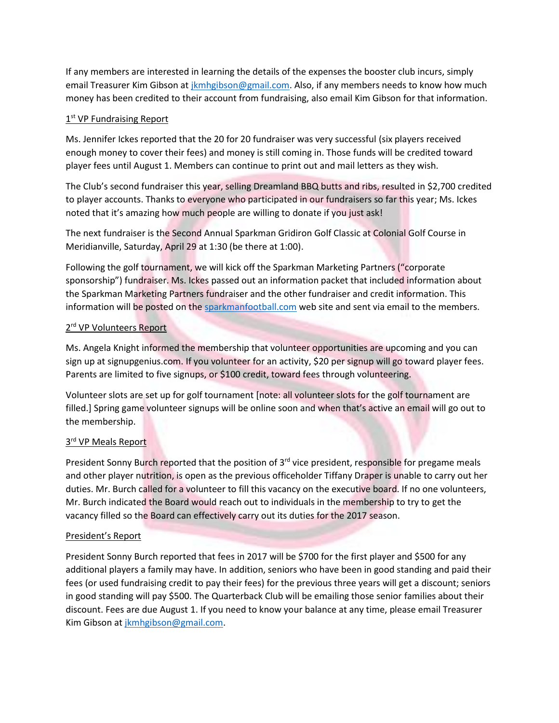If any members are interested in learning the details of the expenses the booster club incurs, simply email Treasurer Kim Gibson at *jkmhgibson@gmail.com*. Also, if any members needs to know how much money has been credited to their account from fundraising, also email Kim Gibson for that information.

# 1<sup>st</sup> VP Fundraising Report

Ms. Jennifer Ickes reported that the 20 for 20 fundraiser was very successful (six players received enough money to cover their fees) and money is still coming in. Those funds will be credited toward player fees until August 1. Members can continue to print out and mail letters as they wish.

The Club's second fundraiser this year, selling Dreamland BBQ butts and ribs, resulted in \$2,700 credited to player accounts. Thanks to everyone who participated in our fundraisers so far this year; Ms. Ickes noted that it's amazing how much people are willing to donate if you just ask!

The next fundraiser is the Second Annual Sparkman Gridiron Golf Classic at Colonial Golf Course in Meridianville, Saturday, April 29 at 1:30 (be there at 1:00).

Following the golf tournament, we will kick off the Sparkman Marketing Partners ("corporate sponsorship") fundraiser. Ms. Ickes passed out an information packet that included information about the Sparkman Marketing Partners fundraiser and the other fundraiser and credit information. This information will be posted on the [sparkmanfootball.com](http://www.sparkmanfootball.com/) web site and sent via email to the members.

### 2<sup>rd</sup> VP Volunteers Report

Ms. Angela Knight informed the membership that volunteer opportunities are upcoming and you can sign up at signupgenius.com. If you volunteer for an activity, \$20 per signup will go toward player fees. Parents are limited to five signups, or \$100 credit, toward fees through volunteering.

Volunteer slots are set up for golf tournament [note: all volunteer slots for the golf tournament are filled.] Spring game volunteer signups will be online soon and when that's active an email will go out to the membership.

# 3<sup>rd</sup> VP Meals Report

President Sonny Burch reported that the position of 3<sup>rd</sup> vice president, responsible for pregame meals and other player nutrition, is open as the previous officeholder Tiffany Draper is unable to carry out her duties. Mr. Burch called for a volunteer to fill this vacancy on the executive board. If no one volunteers, Mr. Burch indicated the Board would reach out to individuals in the membership to try to get the vacancy filled so the Board can effectively carry out its duties for the 2017 season.

# President's Report

President Sonny Burch reported that fees in 2017 will be \$700 for the first player and \$500 for any additional players a family may have. In addition, seniors who have been in good standing and paid their fees (or used fundraising credit to pay their fees) for the previous three years will get a discount; seniors in good standing will pay \$500. The Quarterback Club will be emailing those senior families about their discount. Fees are due August 1. If you need to know your balance at any time, please email Treasurer Kim Gibson a[t jkmhgibson@gmail.com.](mailto:jkmhgibson@gmail.com)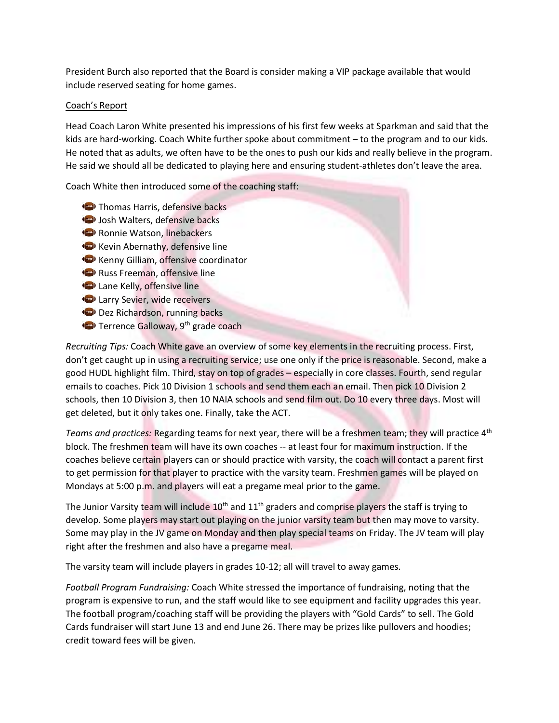President Burch also reported that the Board is consider making a VIP package available that would include reserved seating for home games.

### Coach's Report

Head Coach Laron White presented his impressions of his first few weeks at Sparkman and said that the kids are hard-working. Coach White further spoke about commitment – to the program and to our kids. He noted that as adults, we often have to be the ones to push our kids and really believe in the program. He said we should all be dedicated to playing here and ensuring student-athletes don't leave the area.

Coach White then introduced some of the coaching staff:

- **Thomas Harris, defensive backs**
- (b) Josh Walters, defensive backs
- Ronnie Watson, linebackers
- Kevin Abernathy, defensive line
- Kenny Gilliam, offensive coordinator
- Russ Freeman, offensive line
- **D** Lane Kelly, offensive line
- **D** Larry Sevier, wide receivers
- Dez Richardson, running backs
- Terrence Galloway, 9<sup>th</sup> grade coach

*Recruiting Tips:* Coach White gave an overview of some key elements in the recruiting process. First, don't get caught up in using a recruiting service; use one only if the price is reasonable. Second, make a good HUDL highlight film. Third, stay on top of grades – especially in core classes. Fourth, send regular emails to coaches. Pick 10 Division 1 schools and send them each an email. Then pick 10 Division 2 schools, then 10 Division 3, then 10 NAIA schools and send film out. Do 10 every three days. Most will get deleted, but it only takes one. Finally, take the ACT.

*Teams and practices:* Regarding teams for next year, there will be a freshmen team; they will practice 4th block. The freshmen team will have its own coaches -- at least four for maximum instruction. If the coaches believe certain players can or should practice with varsity, the coach will contact a parent first to get permission for that player to practice with the varsity team. Freshmen games will be played on Mondays at 5:00 p.m. and players will eat a pregame meal prior to the game.

The Junior Varsity team will include  $10<sup>th</sup>$  and  $11<sup>th</sup>$  graders and comprise players the staff is trying to develop. Some players may start out playing on the junior varsity team but then may move to varsity. Some may play in the JV game on Monday and then play special teams on Friday. The JV team will play right after the freshmen and also have a pregame meal.

The varsity team will include players in grades 10-12; all will travel to away games.

*Football Program Fundraising:* Coach White stressed the importance of fundraising, noting that the program is expensive to run, and the staff would like to see equipment and facility upgrades this year. The football program/coaching staff will be providing the players with "Gold Cards" to sell. The Gold Cards fundraiser will start June 13 and end June 26. There may be prizes like pullovers and hoodies; credit toward fees will be given.